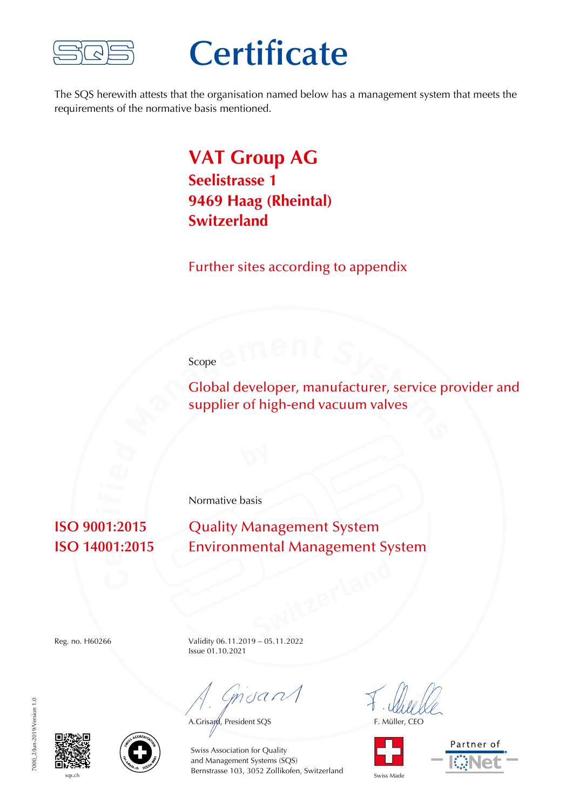

## **Certificate**

The SQS herewith attests that the organisation named below has a management system that meets the requirements of the normative basis mentioned.

#### **VAT Group AG Seelistrasse 1 9469 Haag (Rheintal) Switzerland**

Further sites according to appendix

#### Scope

Global developer, manufacturer, service provider and supplier of high-end vacuum valves

Normative basis

**ISO 9001:2015** Quality Management System **ISO 14001:2015** Environmental Management System

Reg. no. H60266 Validity 06.11.2019 – 05.11.2022 Issue 01.10.2021

mdan

A.Grisayd, President SQS F. Müller, CEO





7000 2/Jun-2019/Version 1.0 7000\_2/Jun-2019/Version 1.0





 $s<sub>qs,ch</sub>$  Swiss Made Bernstrasse 103, 3052 Zollikofen, Switzerland Swiss Made Swiss Association for Quality and Management Systems (SQS)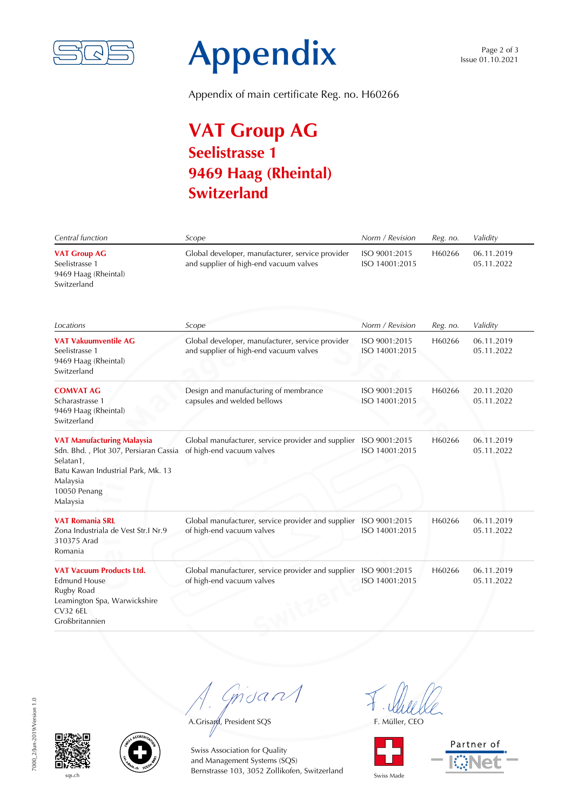

# **Appendix**

Appendix of main certificate Reg. no. H60266

## **VAT Group AG Seelistrasse 1 9469 Haag (Rheintal) Switzerland**

| Central function                                                                                                                                                      | Scope                                                                                         | Norm / Revision                 | Reg. no. | Validity                 |
|-----------------------------------------------------------------------------------------------------------------------------------------------------------------------|-----------------------------------------------------------------------------------------------|---------------------------------|----------|--------------------------|
| <b>VAT Group AG</b><br>Seelistrasse 1<br>9469 Haag (Rheintal)<br>Switzerland                                                                                          | Global developer, manufacturer, service provider<br>and supplier of high-end vacuum valves    | ISO 9001:2015<br>ISO 14001:2015 | H60266   | 06.11.2019<br>05.11.2022 |
| Locations                                                                                                                                                             | Scope                                                                                         | Norm / Revision                 | Reg. no. | Validity                 |
| <b>VAT Vakuumventile AG</b><br>Seelistrasse 1<br>9469 Haag (Rheintal)<br>Switzerland                                                                                  | Global developer, manufacturer, service provider<br>and supplier of high-end vacuum valves    | ISO 9001:2015<br>ISO 14001:2015 | H60266   | 06.11.2019<br>05.11.2022 |
| <b>COMVAT AG</b><br>Scharastrasse 1<br>9469 Haag (Rheintal)<br>Switzerland                                                                                            | Design and manufacturing of membrance<br>capsules and welded bellows                          | ISO 9001:2015<br>ISO 14001:2015 | H60266   | 20.11.2020<br>05.11.2022 |
| <b>VAT Manufacturing Malaysia</b><br>Sdn. Bhd., Plot 307, Persiaran Cassia<br>Selatan1,<br>Batu Kawan Industrial Park, Mk. 13<br>Malaysia<br>10050 Penang<br>Malaysia | Global manufacturer, service provider and supplier<br>of high-end vacuum valves               | ISO 9001:2015<br>ISO 14001:2015 | H60266   | 06.11.2019<br>05.11.2022 |
| <b>VAT Romania SRL</b><br>Zona Industriala de Vest Str.I Nr.9<br>310375 Arad<br>Romania                                                                               | Global manufacturer, service provider and supplier ISO 9001:2015<br>of high-end vacuum valves | ISO 14001:2015                  | H60266   | 06.11.2019<br>05.11.2022 |
| <b>VAT Vacuum Products Ltd.</b><br><b>Edmund House</b><br>Rugby Road<br>Leamington Spa, Warwickshire<br><b>CV32 6EL</b><br>Großbritannien                             | Global manufacturer, service provider and supplier<br>of high-end vacuum valves               | ISO 9001:2015<br>ISO 14001:2015 | H60266   | 06.11.2019<br>05.11.2022 |

7000\_2/Jun-2019/Version 1.0 7000\_2/Jun-2019/Version 1.0





 $s<sub>qs,ch</sub>$  Swiss Made Bernstrasse 103, 3052 Zollikofen, Switzerland Swiss Made Swiss Association for Quality and Management Systems (SQS)

Gnuan

A.Grisayd, President SQS F. Müller, CEO